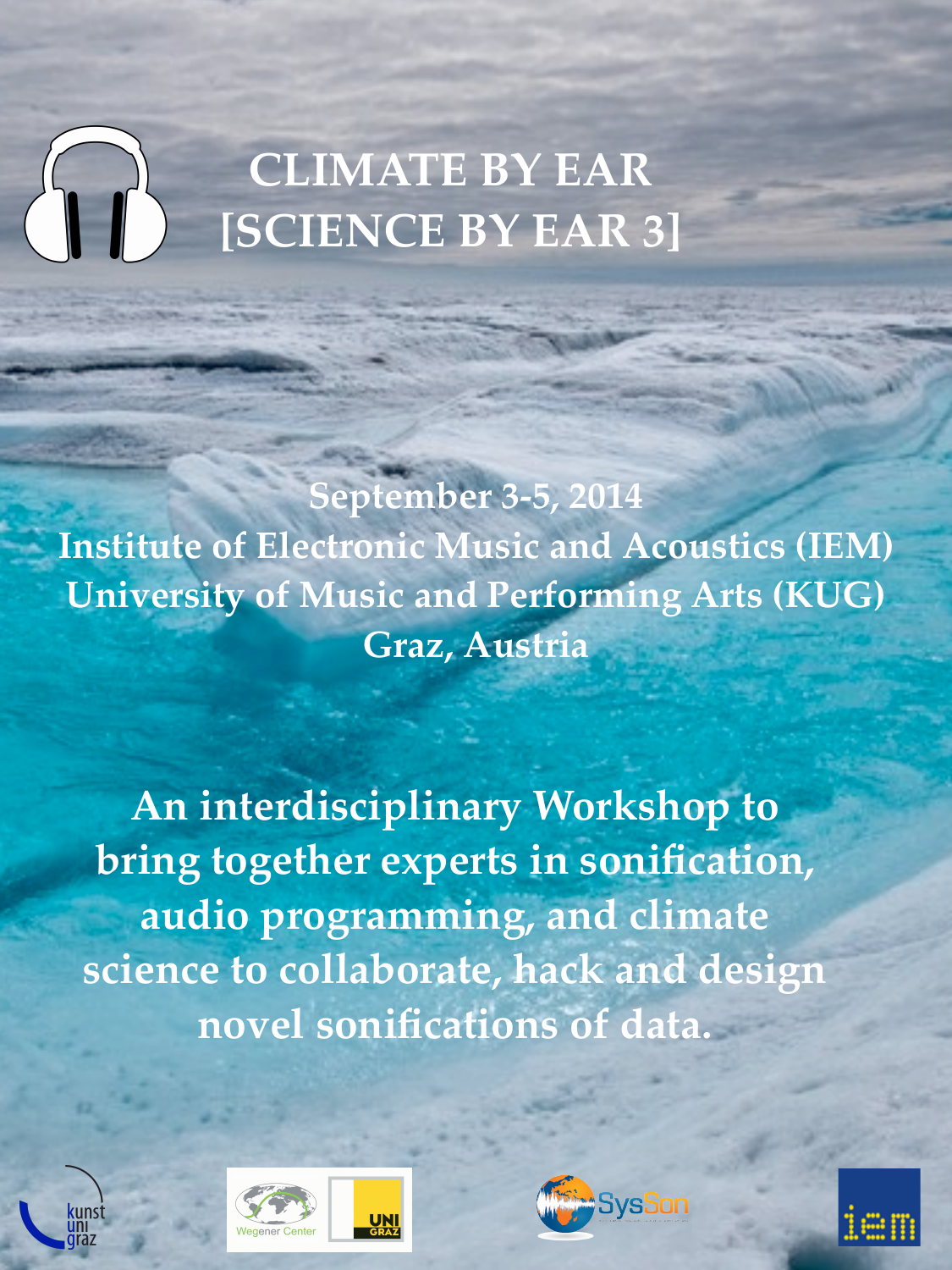# **CLIMATE BY EAR [SCIENCE BY EAR 3]**

**September 3-5, 2014 Institute of Electronic Music and Acoustics (IEM) University of Music and Performing Arts (KUG) Graz, Austria**

**An interdisciplinary Workshop to bring together experts in sonification, audio programming, and climate science to collaborate, hack and design novel sonifications of data.**





**UN**<br>GRAZ